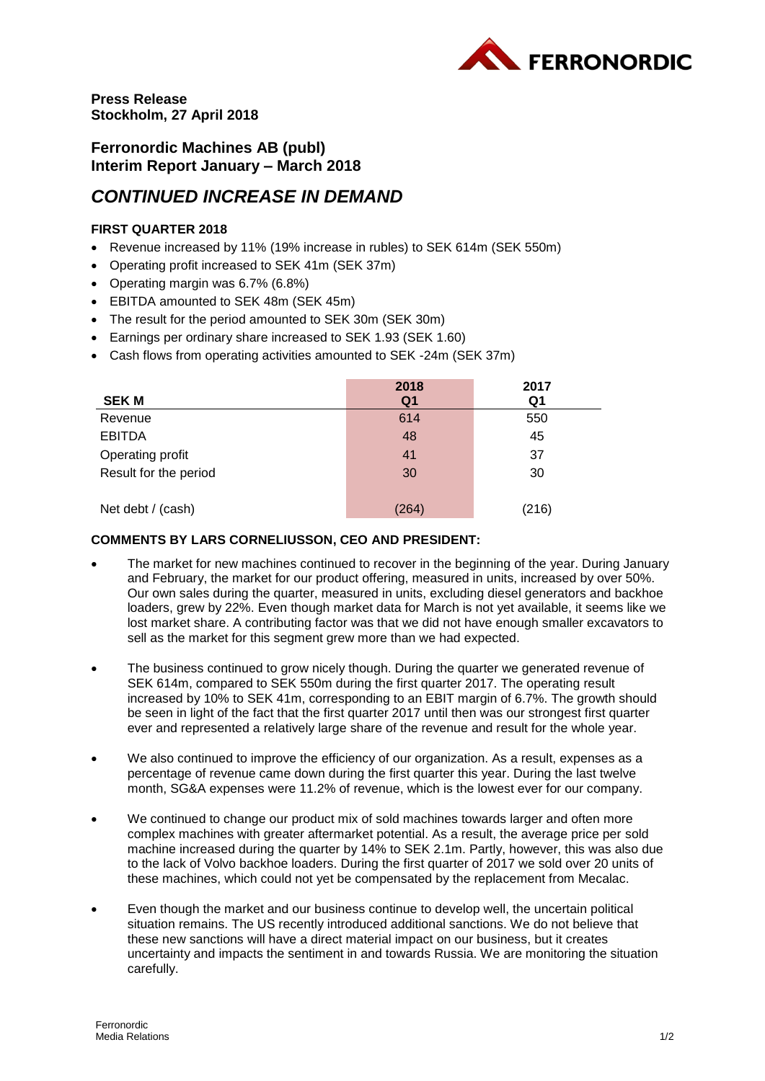

**Press Release Stockholm, 27 April 2018**

**Ferronordic Machines AB (publ) Interim Report January – March 2018**

# *CONTINUED INCREASE IN DEMAND*

## **FIRST QUARTER 2018**

- Revenue increased by 11% (19% increase in rubles) to SEK 614m (SEK 550m)
- Operating profit increased to SEK 41m (SEK 37m)
- Operating margin was 6.7% (6.8%)
- EBITDA amounted to SEK 48m (SEK 45m)
- The result for the period amounted to SEK 30m (SEK 30m)
- Earnings per ordinary share increased to SEK 1.93 (SEK 1.60)
- Cash flows from operating activities amounted to SEK -24m (SEK 37m)

|                       | 2018           | 2017  |
|-----------------------|----------------|-------|
| <b>SEKM</b>           | Q <sub>1</sub> | Q1    |
| Revenue               | 614            | 550   |
| <b>EBITDA</b>         | 48             | 45    |
| Operating profit      | 41             | 37    |
| Result for the period | 30             | 30    |
| Net debt / (cash)     | (264)          | (216) |

### **COMMENTS BY LARS CORNELIUSSON, CEO AND PRESIDENT:**

- The market for new machines continued to recover in the beginning of the year. During January and February, the market for our product offering, measured in units, increased by over 50%. Our own sales during the quarter, measured in units, excluding diesel generators and backhoe loaders, grew by 22%. Even though market data for March is not yet available, it seems like we lost market share. A contributing factor was that we did not have enough smaller excavators to sell as the market for this segment grew more than we had expected.
- The business continued to grow nicely though. During the quarter we generated revenue of SEK 614m, compared to SEK 550m during the first quarter 2017. The operating result increased by 10% to SEK 41m, corresponding to an EBIT margin of 6.7%. The growth should be seen in light of the fact that the first quarter 2017 until then was our strongest first quarter ever and represented a relatively large share of the revenue and result for the whole year.
- We also continued to improve the efficiency of our organization. As a result, expenses as a percentage of revenue came down during the first quarter this year. During the last twelve month, SG&A expenses were 11.2% of revenue, which is the lowest ever for our company.
- We continued to change our product mix of sold machines towards larger and often more complex machines with greater aftermarket potential. As a result, the average price per sold machine increased during the quarter by 14% to SEK 2.1m. Partly, however, this was also due to the lack of Volvo backhoe loaders. During the first quarter of 2017 we sold over 20 units of these machines, which could not yet be compensated by the replacement from Mecalac.
- Even though the market and our business continue to develop well, the uncertain political situation remains. The US recently introduced additional sanctions. We do not believe that these new sanctions will have a direct material impact on our business, but it creates uncertainty and impacts the sentiment in and towards Russia. We are monitoring the situation carefully.